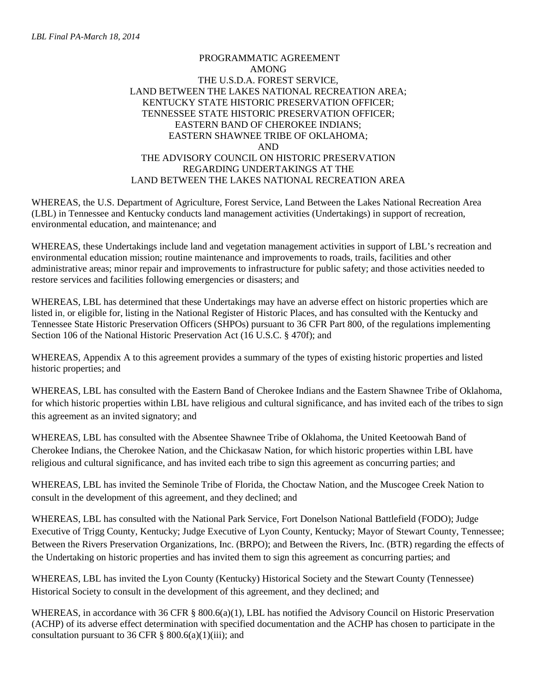## PROGRAMMATIC AGREEMENT AMONG THE U.S.D.A. FOREST SERVICE, LAND BETWEEN THE LAKES NATIONAL RECREATION AREA; KENTUCKY STATE HISTORIC PRESERVATION OFFICER; TENNESSEE STATE HISTORIC PRESERVATION OFFICER; EASTERN BAND OF CHEROKEE INDIANS; EASTERN SHAWNEE TRIBE OF OKLAHOMA; AND THE ADVISORY COUNCIL ON HISTORIC PRESERVATION REGARDING UNDERTAKINGS AT THE LAND BETWEEN THE LAKES NATIONAL RECREATION AREA

WHEREAS, the U.S. Department of Agriculture, Forest Service, Land Between the Lakes National Recreation Area (LBL) in Tennessee and Kentucky conducts land management activities (Undertakings) in support of recreation, environmental education, and maintenance; and

WHEREAS, these Undertakings include land and vegetation management activities in support of LBL's recreation and environmental education mission; routine maintenance and improvements to roads, trails, facilities and other administrative areas; minor repair and improvements to infrastructure for public safety; and those activities needed to restore services and facilities following emergencies or disasters; and

WHEREAS, LBL has determined that these Undertakings may have an adverse effect on historic properties which are listed in, or eligible for, listing in the National Register of Historic Places, and has consulted with the Kentucky and Tennessee State Historic Preservation Officers (SHPOs) pursuant to 36 CFR Part 800, of the regulations implementing Section 106 of the National Historic Preservation Act (16 U.S.C. § 470f); and

WHEREAS, Appendix A to this agreement provides a summary of the types of existing historic properties and listed historic properties; and

WHEREAS, LBL has consulted with the Eastern Band of Cherokee Indians and the Eastern Shawnee Tribe of Oklahoma, for which historic properties within LBL have religious and cultural significance, and has invited each of the tribes to sign this agreement as an invited signatory; and

WHEREAS, LBL has consulted with the Absentee Shawnee Tribe of Oklahoma, the United Keetoowah Band of Cherokee Indians, the Cherokee Nation, and the Chickasaw Nation, for which historic properties within LBL have religious and cultural significance, and has invited each tribe to sign this agreement as concurring parties; and

WHEREAS, LBL has invited the Seminole Tribe of Florida, the Choctaw Nation, and the Muscogee Creek Nation to consult in the development of this agreement, and they declined; and

WHEREAS, LBL has consulted with the National Park Service, Fort Donelson National Battlefield (FODO); Judge Executive of Trigg County, Kentucky; Judge Executive of Lyon County, Kentucky; Mayor of Stewart County, Tennessee; Between the Rivers Preservation Organizations, Inc. (BRPO); and Between the Rivers, Inc. (BTR) regarding the effects of the Undertaking on historic properties and has invited them to sign this agreement as concurring parties; and

WHEREAS, LBL has invited the Lyon County (Kentucky) Historical Society and the Stewart County (Tennessee) Historical Society to consult in the development of this agreement, and they declined; and

WHEREAS, in accordance with 36 CFR § 800.6(a)(1), LBL has notified the Advisory Council on Historic Preservation (ACHP) of its adverse effect determination with specified documentation and the ACHP has chosen to participate in the consultation pursuant to 36 CFR  $\S$  800.6(a)(1)(iii); and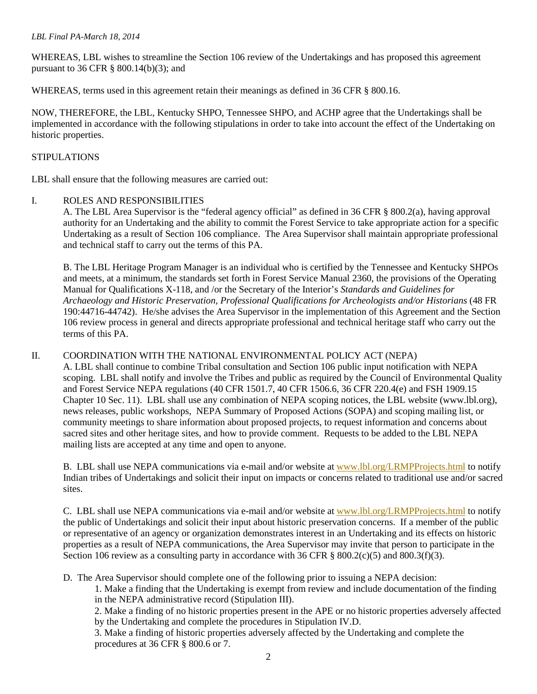#### *LBL Final PA-March 18, 2014*

WHEREAS, LBL wishes to streamline the Section 106 review of the Undertakings and has proposed this agreement pursuant to 36 CFR § 800.14(b)(3); and

WHEREAS, terms used in this agreement retain their meanings as defined in 36 CFR § 800.16.

NOW, THEREFORE, the LBL, Kentucky SHPO, Tennessee SHPO, and ACHP agree that the Undertakings shall be implemented in accordance with the following stipulations in order to take into account the effect of the Undertaking on historic properties.

### STIPULATIONS

LBL shall ensure that the following measures are carried out:

### I. ROLES AND RESPONSIBILITIES

A. The LBL Area Supervisor is the "federal agency official" as defined in 36 CFR § 800.2(a), having approval authority for an Undertaking and the ability to commit the Forest Service to take appropriate action for a specific Undertaking as a result of Section 106 compliance. The Area Supervisor shall maintain appropriate professional and technical staff to carry out the terms of this PA.

B. The LBL Heritage Program Manager is an individual who is certified by the Tennessee and Kentucky SHPOs and meets, at a minimum, the standards set forth in Forest Service Manual 2360, the provisions of the Operating Manual for Qualifications X-118, and /or the Secretary of the Interior's *Standards and Guidelines for Archaeology and Historic Preservation, Professional Qualifications for Archeologists and/or Historians* (48 FR 190:44716-44742). He/she advises the Area Supervisor in the implementation of this Agreement and the Section 106 review process in general and directs appropriate professional and technical heritage staff who carry out the terms of this PA.

### II. COORDINATION WITH THE NATIONAL ENVIRONMENTAL POLICY ACT (NEPA)

A. LBL shall continue to combine Tribal consultation and Section 106 public input notification with NEPA scoping. LBL shall notify and involve the Tribes and public as required by the Council of Environmental Quality and Forest Service NEPA regulations (40 CFR 1501.7, 40 CFR 1506.6, 36 CFR 220.4(e) and FSH 1909.15 Chapter 10 Sec. 11). LBL shall use any combination of NEPA scoping notices, the LBL website [\(www.lbl.org\)](http://www.lbl.org/), news releases, public workshops, NEPA Summary of Proposed Actions (SOPA) and scoping mailing list, or community meetings to share information about proposed projects, to request information and concerns about sacred sites and other heritage sites, and how to provide comment. Requests to be added to the LBL NEPA mailing lists are accepted at any time and open to anyone.

B. LBL shall use NEPA communications via e-mail and/or website at [www.lbl.org/LRMPProjects.html](http://www.lbl.org/LRMPProjects.html) to notify Indian tribes of Undertakings and solicit their input on impacts or concerns related to traditional use and/or sacred sites.

C. LBL shall use NEPA communications via e-mail and/or website at [www.lbl.org/LRMPProjects.html](http://www.lbl.org/LRMPProjects.html) to notify the public of Undertakings and solicit their input about historic preservation concerns. If a member of the public or representative of an agency or organization demonstrates interest in an Undertaking and its effects on historic properties as a result of NEPA communications, the Area Supervisor may invite that person to participate in the Section 106 review as a consulting party in accordance with 36 CFR  $\S$  800.2(c)(5) and 800.3(f)(3).

D. The Area Supervisor should complete one of the following prior to issuing a NEPA decision:

1. Make a finding that the Undertaking is exempt from review and include documentation of the finding in the NEPA administrative record (Stipulation III).

2. Make a finding of no historic properties present in the APE or no historic properties adversely affected by the Undertaking and complete the procedures in Stipulation IV.D.

3. Make a finding of historic properties adversely affected by the Undertaking and complete the procedures at 36 CFR § 800.6 or 7.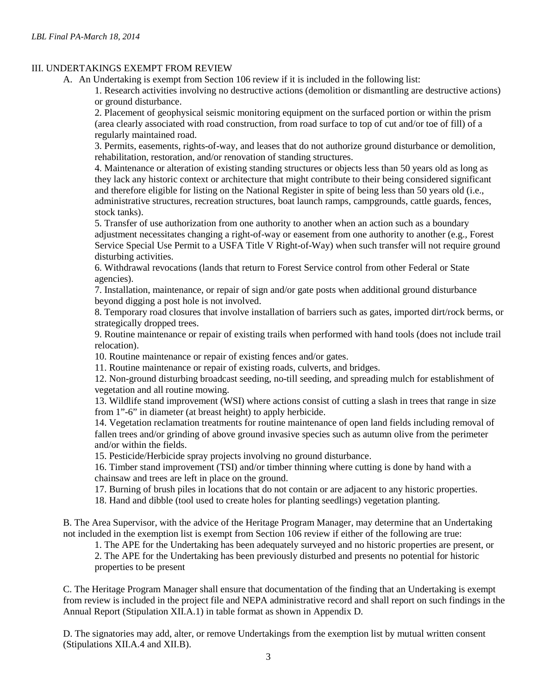## III. UNDERTAKINGS EXEMPT FROM REVIEW

A. An Undertaking is exempt from Section 106 review if it is included in the following list:

1. Research activities involving no destructive actions (demolition or dismantling are destructive actions) or ground disturbance.

2. Placement of geophysical seismic monitoring equipment on the surfaced portion or within the prism (area clearly associated with road construction, from road surface to top of cut and/or toe of fill) of a regularly maintained road.

3. Permits, easements, rights-of-way, and leases that do not authorize ground disturbance or demolition, rehabilitation, restoration, and/or renovation of standing structures.

4. Maintenance or alteration of existing standing structures or objects less than 50 years old as long as they lack any historic context or architecture that might contribute to their being considered significant and therefore eligible for listing on the National Register in spite of being less than 50 years old (i.e., administrative structures, recreation structures, boat launch ramps, campgrounds, cattle guards, fences, stock tanks).

5. Transfer of use authorization from one authority to another when an action such as a boundary adjustment necessitates changing a right-of-way or easement from one authority to another (e.g., Forest Service Special Use Permit to a USFA Title V Right-of-Way) when such transfer will not require ground disturbing activities.

6. Withdrawal revocations (lands that return to Forest Service control from other Federal or State agencies).

7. Installation, maintenance, or repair of sign and/or gate posts when additional ground disturbance beyond digging a post hole is not involved.

8. Temporary road closures that involve installation of barriers such as gates, imported dirt/rock berms, or strategically dropped trees.

9. Routine maintenance or repair of existing trails when performed with hand tools (does not include trail relocation).

10. Routine maintenance or repair of existing fences and/or gates.

11. Routine maintenance or repair of existing roads, culverts, and bridges.

12. Non-ground disturbing broadcast seeding, no-till seeding, and spreading mulch for establishment of vegetation and all routine mowing.

13. Wildlife stand improvement (WSI) where actions consist of cutting a slash in trees that range in size from 1"-6" in diameter (at breast height) to apply herbicide.

14. Vegetation reclamation treatments for routine maintenance of open land fields including removal of fallen trees and/or grinding of above ground invasive species such as autumn olive from the perimeter and/or within the fields.

15. Pesticide/Herbicide spray projects involving no ground disturbance.

16. Timber stand improvement (TSI) and/or timber thinning where cutting is done by hand with a chainsaw and trees are left in place on the ground.

17. Burning of brush piles in locations that do not contain or are adjacent to any historic properties.

18. Hand and dibble (tool used to create holes for planting seedlings) vegetation planting.

B. The Area Supervisor, with the advice of the Heritage Program Manager, may determine that an Undertaking not included in the exemption list is exempt from Section 106 review if either of the following are true:

1. The APE for the Undertaking has been adequately surveyed and no historic properties are present, or

2. The APE for the Undertaking has been previously disturbed and presents no potential for historic properties to be present

C. The Heritage Program Manager shall ensure that documentation of the finding that an Undertaking is exempt from review is included in the project file and NEPA administrative record and shall report on such findings in the Annual Report (Stipulation XII.A.1) in table format as shown in Appendix D.

D. The signatories may add, alter, or remove Undertakings from the exemption list by mutual written consent (Stipulations XII.A.4 and XII.B).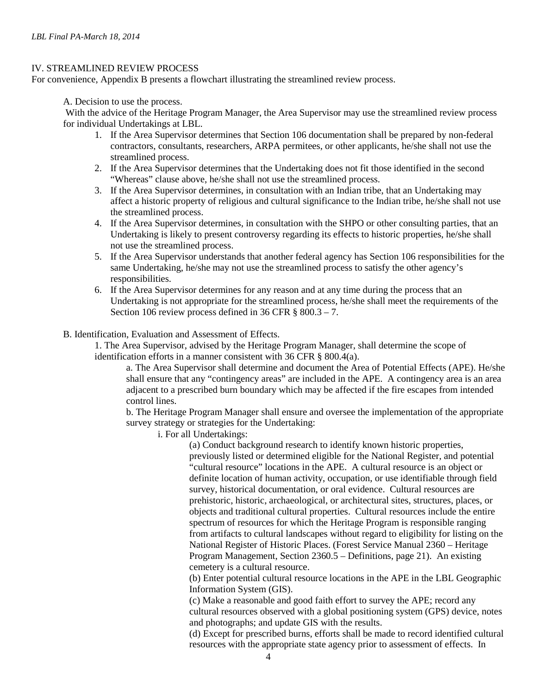#### IV. STREAMLINED REVIEW PROCESS

For convenience, Appendix B presents a flowchart illustrating the streamlined review process.

A. Decision to use the process.

With the advice of the Heritage Program Manager, the Area Supervisor may use the streamlined review process for individual Undertakings at LBL.

- 1. If the Area Supervisor determines that Section 106 documentation shall be prepared by non-federal contractors, consultants, researchers, ARPA permitees, or other applicants, he/she shall not use the streamlined process.
- 2. If the Area Supervisor determines that the Undertaking does not fit those identified in the second "Whereas" clause above, he/she shall not use the streamlined process.
- 3. If the Area Supervisor determines, in consultation with an Indian tribe, that an Undertaking may affect a historic property of religious and cultural significance to the Indian tribe, he/she shall not use the streamlined process.
- 4. If the Area Supervisor determines, in consultation with the SHPO or other consulting parties, that an Undertaking is likely to present controversy regarding its effects to historic properties, he/she shall not use the streamlined process.
- 5. If the Area Supervisor understands that another federal agency has Section 106 responsibilities for the same Undertaking, he/she may not use the streamlined process to satisfy the other agency's responsibilities.
- 6. If the Area Supervisor determines for any reason and at any time during the process that an Undertaking is not appropriate for the streamlined process, he/she shall meet the requirements of the Section 106 review process defined in 36 CFR § 800.3 – 7.
- B. Identification, Evaluation and Assessment of Effects.

1. The Area Supervisor, advised by the Heritage Program Manager, shall determine the scope of identification efforts in a manner consistent with 36 CFR § 800.4(a).

a. The Area Supervisor shall determine and document the Area of Potential Effects (APE). He/she shall ensure that any "contingency areas" are included in the APE. A contingency area is an area adjacent to a prescribed burn boundary which may be affected if the fire escapes from intended control lines.

b. The Heritage Program Manager shall ensure and oversee the implementation of the appropriate survey strategy or strategies for the Undertaking:

i. For all Undertakings:

(a) Conduct background research to identify known historic properties, previously listed or determined eligible for the National Register, and potential "cultural resource" locations in the APE. A cultural resource is an object or definite location of human activity, occupation, or use identifiable through field survey, historical documentation, or oral evidence. Cultural resources are prehistoric, historic, archaeological, or architectural sites, structures, places, or objects and traditional cultural properties. Cultural resources include the entire spectrum of resources for which the Heritage Program is responsible ranging from artifacts to cultural landscapes without regard to eligibility for listing on the National Register of Historic Places. (Forest Service Manual 2360 – Heritage Program Management, Section 2360.5 – Definitions, page 21). An existing cemetery is a cultural resource.

(b) Enter potential cultural resource locations in the APE in the LBL Geographic Information System (GIS).

(c) Make a reasonable and good faith effort to survey the APE; record any cultural resources observed with a global positioning system (GPS) device, notes and photographs; and update GIS with the results.

(d) Except for prescribed burns, efforts shall be made to record identified cultural resources with the appropriate state agency prior to assessment of effects. In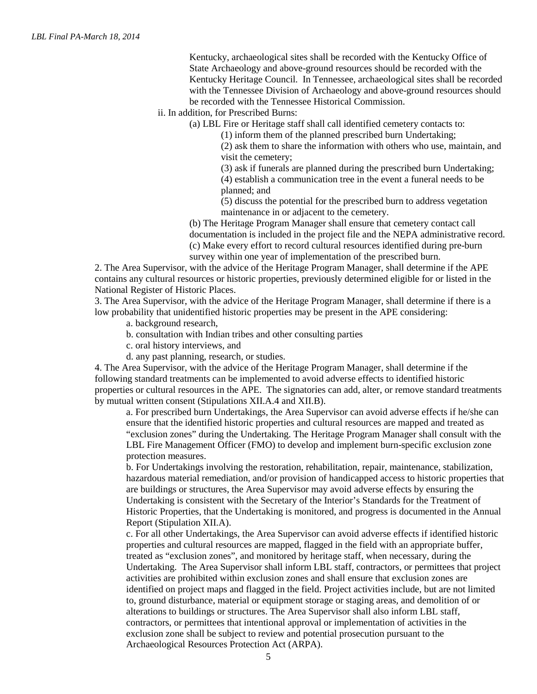Kentucky, archaeological sites shall be recorded with the Kentucky Office of State Archaeology and above-ground resources should be recorded with the Kentucky Heritage Council. In Tennessee, archaeological sites shall be recorded with the Tennessee Division of Archaeology and above-ground resources should be recorded with the Tennessee Historical Commission.

ii. In addition, for Prescribed Burns:

(a) LBL Fire or Heritage staff shall call identified cemetery contacts to:

(1) inform them of the planned prescribed burn Undertaking;

(2) ask them to share the information with others who use, maintain, and visit the cemetery;

(3) ask if funerals are planned during the prescribed burn Undertaking; (4) establish a communication tree in the event a funeral needs to be planned; and

(5) discuss the potential for the prescribed burn to address vegetation maintenance in or adjacent to the cemetery.

(b) The Heritage Program Manager shall ensure that cemetery contact call documentation is included in the project file and the NEPA administrative record. (c) Make every effort to record cultural resources identified during pre-burn survey within one year of implementation of the prescribed burn.

2. The Area Supervisor, with the advice of the Heritage Program Manager, shall determine if the APE contains any cultural resources or historic properties, previously determined eligible for or listed in the National Register of Historic Places.

3. The Area Supervisor, with the advice of the Heritage Program Manager, shall determine if there is a low probability that unidentified historic properties may be present in the APE considering:

- a. background research,
- b. consultation with Indian tribes and other consulting parties
- c. oral history interviews, and
- d. any past planning, research, or studies.

4. The Area Supervisor, with the advice of the Heritage Program Manager, shall determine if the following standard treatments can be implemented to avoid adverse effects to identified historic properties or cultural resources in the APE. The signatories can add, alter, or remove standard treatments by mutual written consent (Stipulations XII.A.4 and XII.B).

a. For prescribed burn Undertakings, the Area Supervisor can avoid adverse effects if he/she can ensure that the identified historic properties and cultural resources are mapped and treated as "exclusion zones" during the Undertaking. The Heritage Program Manager shall consult with the LBL Fire Management Officer (FMO) to develop and implement burn-specific exclusion zone protection measures.

b. For Undertakings involving the restoration, rehabilitation, repair, maintenance, stabilization, hazardous material remediation, and/or provision of handicapped access to historic properties that are buildings or structures, the Area Supervisor may avoid adverse effects by ensuring the Undertaking is consistent with the Secretary of the Interior's Standards for the Treatment of Historic Properties, that the Undertaking is monitored, and progress is documented in the Annual Report (Stipulation XII.A).

c. For all other Undertakings, the Area Supervisor can avoid adverse effects if identified historic properties and cultural resources are mapped, flagged in the field with an appropriate buffer, treated as "exclusion zones", and monitored by heritage staff, when necessary, during the Undertaking. The Area Supervisor shall inform LBL staff, contractors, or permittees that project activities are prohibited within exclusion zones and shall ensure that exclusion zones are identified on project maps and flagged in the field. Project activities include, but are not limited to, ground disturbance, material or equipment storage or staging areas, and demolition of or alterations to buildings or structures. The Area Supervisor shall also inform LBL staff, contractors, or permittees that intentional approval or implementation of activities in the exclusion zone shall be subject to review and potential prosecution pursuant to the Archaeological Resources Protection Act (ARPA).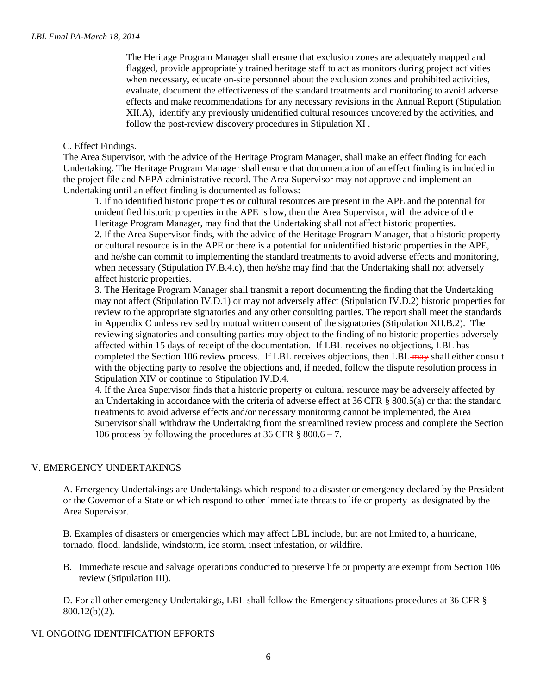The Heritage Program Manager shall ensure that exclusion zones are adequately mapped and flagged, provide appropriately trained heritage staff to act as monitors during project activities when necessary, educate on-site personnel about the exclusion zones and prohibited activities, evaluate, document the effectiveness of the standard treatments and monitoring to avoid adverse effects and make recommendations for any necessary revisions in the Annual Report (Stipulation XII.A), identify any previously unidentified cultural resources uncovered by the activities, and follow the post-review discovery procedures in Stipulation XI .

### C. Effect Findings.

The Area Supervisor, with the advice of the Heritage Program Manager, shall make an effect finding for each Undertaking. The Heritage Program Manager shall ensure that documentation of an effect finding is included in the project file and NEPA administrative record. The Area Supervisor may not approve and implement an Undertaking until an effect finding is documented as follows:

1. If no identified historic properties or cultural resources are present in the APE and the potential for unidentified historic properties in the APE is low, then the Area Supervisor, with the advice of the Heritage Program Manager, may find that the Undertaking shall not affect historic properties. 2. If the Area Supervisor finds, with the advice of the Heritage Program Manager, that a historic property or cultural resource is in the APE or there is a potential for unidentified historic properties in the APE, and he/she can commit to implementing the standard treatments to avoid adverse effects and monitoring, when necessary (Stipulation IV.B.4.c), then he/she may find that the Undertaking shall not adversely affect historic properties.

3. The Heritage Program Manager shall transmit a report documenting the finding that the Undertaking may not affect (Stipulation IV.D.1) or may not adversely affect (Stipulation IV.D.2) historic properties for review to the appropriate signatories and any other consulting parties. The report shall meet the standards in Appendix C unless revised by mutual written consent of the signatories (Stipulation XII.B.2). The reviewing signatories and consulting parties may object to the finding of no historic properties adversely affected within 15 days of receipt of the documentation. If LBL receives no objections, LBL has completed the Section 106 review process. If LBL receives objections, then LBL may shall either consult with the objecting party to resolve the objections and, if needed, follow the dispute resolution process in Stipulation XIV or continue to Stipulation IV.D.4.

4. If the Area Supervisor finds that a historic property or cultural resource may be adversely affected by an Undertaking in accordance with the criteria of adverse effect at 36 CFR § 800.5(a) or that the standard treatments to avoid adverse effects and/or necessary monitoring cannot be implemented, the Area Supervisor shall withdraw the Undertaking from the streamlined review process and complete the Section 106 process by following the procedures at 36 CFR  $\S 800.6 - 7$ .

# V. EMERGENCY UNDERTAKINGS

A. Emergency Undertakings are Undertakings which respond to a disaster or emergency declared by the President or the Governor of a State or which respond to other immediate threats to life or property as designated by the Area Supervisor.

B. Examples of disasters or emergencies which may affect LBL include, but are not limited to, a hurricane, tornado, flood, landslide, windstorm, ice storm, insect infestation, or wildfire.

B. Immediate rescue and salvage operations conducted to preserve life or property are exempt from Section 106 review (Stipulation III).

D. For all other emergency Undertakings, LBL shall follow the Emergency situations procedures at 36 CFR § 800.12(b)(2).

### VI. ONGOING IDENTIFICATION EFFORTS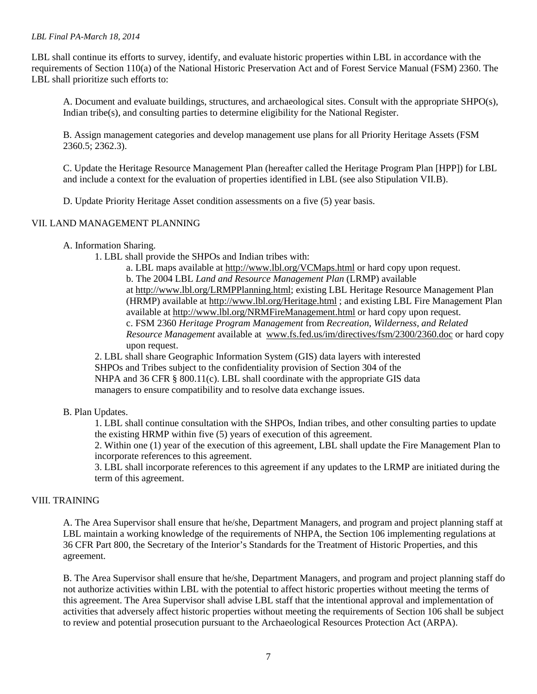#### *LBL Final PA-March 18, 2014*

LBL shall continue its efforts to survey, identify, and evaluate historic properties within LBL in accordance with the requirements of Section 110(a) of the National Historic Preservation Act and of Forest Service Manual (FSM) 2360. The LBL shall prioritize such efforts to:

A. Document and evaluate buildings, structures, and archaeological sites. Consult with the appropriate SHPO(s), Indian tribe(s), and consulting parties to determine eligibility for the National Register.

B. Assign management categories and develop management use plans for all Priority Heritage Assets (FSM 2360.5; 2362.3).

C. Update the Heritage Resource Management Plan (hereafter called the Heritage Program Plan [HPP]) for LBL and include a context for the evaluation of properties identified in LBL (see also Stipulation VII.B).

D. Update Priority Heritage Asset condition assessments on a five (5) year basis.

#### VII. LAND MANAGEMENT PLANNING

- A. Information Sharing.
	- 1. LBL shall provide the SHPOs and Indian tribes with:

a. LBL maps available at<http://www.lbl.org/VCMaps.html> or hard copy upon request. b. The 2004 LBL *Land and Resource Management Plan* (LRMP) available at [http://www.lbl.org/LRMPPlanning.html;](http://www.lbl.org/LRMPPlanning.html) existing LBL Heritage Resource Management Plan (HRMP) available at<http://www.lbl.org/Heritage.html> ; and existing LBL Fire Management Plan available at <http://www.lbl.org/NRMFireManagement.html> or hard copy upon request. c. FSM 2360 *Heritage Program Management* from *Recreation, Wilderness, and Related Resource Management* available at [www.fs.fed.us/im/directives/fsm/2300/2360.doc](http://www.fs.fed.us/im/directives/fsm/2300/2360.doc) or hard copy upon request.

2. LBL shall share Geographic Information System (GIS) data layers with interested SHPOs and Tribes subject to the confidentiality provision of Section 304 of the NHPA and 36 CFR § 800.11(c). LBL shall coordinate with the appropriate GIS data managers to ensure compatibility and to resolve data exchange issues.

## B. Plan Updates.

1. LBL shall continue consultation with the SHPOs, Indian tribes, and other consulting parties to update the existing HRMP within five (5) years of execution of this agreement.

2. Within one (1) year of the execution of this agreement, LBL shall update the Fire Management Plan to incorporate references to this agreement.

3. LBL shall incorporate references to this agreement if any updates to the LRMP are initiated during the term of this agreement.

#### VIII. TRAINING

A. The Area Supervisor shall ensure that he/she, Department Managers, and program and project planning staff at LBL maintain a working knowledge of the requirements of NHPA, the Section 106 implementing regulations at 36 CFR Part 800, the Secretary of the Interior's Standards for the Treatment of Historic Properties, and this agreement.

B. The Area Supervisor shall ensure that he/she, Department Managers, and program and project planning staff do not authorize activities within LBL with the potential to affect historic properties without meeting the terms of this agreement. The Area Supervisor shall advise LBL staff that the intentional approval and implementation of activities that adversely affect historic properties without meeting the requirements of Section 106 shall be subject to review and potential prosecution pursuant to the Archaeological Resources Protection Act (ARPA).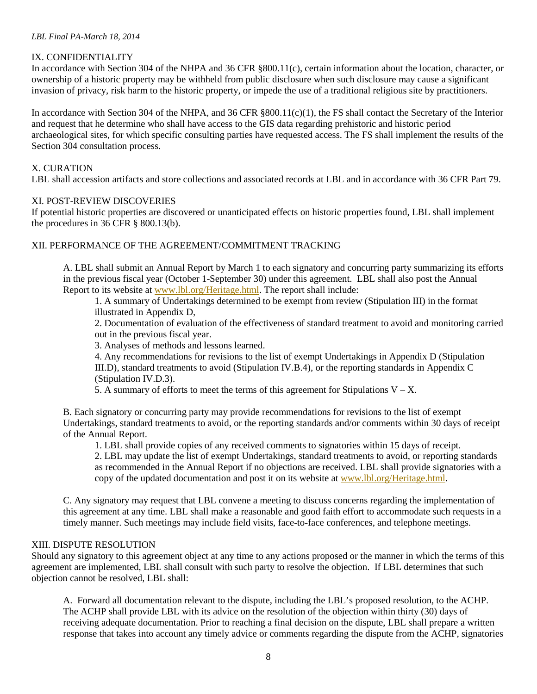## IX. CONFIDENTIALITY

In accordance with Section 304 of the NHPA and 36 CFR §800.11(c), certain information about the location, character, or ownership of a historic property may be withheld from public disclosure when such disclosure may cause a significant invasion of privacy, risk harm to the historic property, or impede the use of a traditional religious site by practitioners.

In accordance with Section 304 of the NHPA, and 36 CFR §800.11(c)(1), the FS shall contact the Secretary of the Interior and request that he determine who shall have access to the GIS data regarding prehistoric and historic period archaeological sites, for which specific consulting parties have requested access. The FS shall implement the results of the Section 304 consultation process.

## X. CURATION

LBL shall accession artifacts and store collections and associated records at LBL and in accordance with 36 CFR Part 79.

### XI. POST-REVIEW DISCOVERIES

If potential historic properties are discovered or unanticipated effects on historic properties found, LBL shall implement the procedures in 36 CFR § 800.13(b).

## XII. PERFORMANCE OF THE AGREEMENT/COMMITMENT TRACKING

A. LBL shall submit an Annual Report by March 1 to each signatory and concurring party summarizing its efforts in the previous fiscal year (October 1-September 30) under this agreement. LBL shall also post the Annual Report to its website at [www.lbl.org/Heritage.html.](http://www.lbl.org/Heritage.html) The report shall include:

1. A summary of Undertakings determined to be exempt from review (Stipulation III) in the format illustrated in Appendix D,

2. Documentation of evaluation of the effectiveness of standard treatment to avoid and monitoring carried out in the previous fiscal year.

3. Analyses of methods and lessons learned.

4. Any recommendations for revisions to the list of exempt Undertakings in Appendix D (Stipulation III.D), standard treatments to avoid (Stipulation IV.B.4), or the reporting standards in Appendix C (Stipulation IV.D.3).

5. A summary of efforts to meet the terms of this agreement for Stipulations  $V - X$ .

B. Each signatory or concurring party may provide recommendations for revisions to the list of exempt Undertakings, standard treatments to avoid, or the reporting standards and/or comments within 30 days of receipt of the Annual Report.

1. LBL shall provide copies of any received comments to signatories within 15 days of receipt.

2. LBL may update the list of exempt Undertakings, standard treatments to avoid, or reporting standards as recommended in the Annual Report if no objections are received. LBL shall provide signatories with a copy of the updated documentation and post it on its website at [www.lbl.org/Heritage.html.](http://www.lbl.org/Heritage.html)

C. Any signatory may request that LBL convene a meeting to discuss concerns regarding the implementation of this agreement at any time. LBL shall make a reasonable and good faith effort to accommodate such requests in a timely manner. Such meetings may include field visits, face-to-face conferences, and telephone meetings.

# XIII. DISPUTE RESOLUTION

Should any signatory to this agreement object at any time to any actions proposed or the manner in which the terms of this agreement are implemented, LBL shall consult with such party to resolve the objection. If LBL determines that such objection cannot be resolved, LBL shall:

A. Forward all documentation relevant to the dispute, including the LBL's proposed resolution, to the ACHP. The ACHP shall provide LBL with its advice on the resolution of the objection within thirty (30) days of receiving adequate documentation. Prior to reaching a final decision on the dispute, LBL shall prepare a written response that takes into account any timely advice or comments regarding the dispute from the ACHP, signatories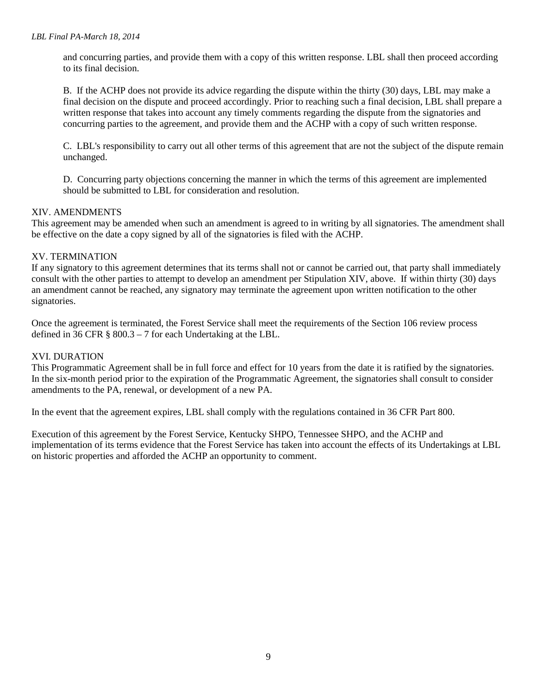and concurring parties, and provide them with a copy of this written response. LBL shall then proceed according to its final decision.

B. If the ACHP does not provide its advice regarding the dispute within the thirty (30) days, LBL may make a final decision on the dispute and proceed accordingly. Prior to reaching such a final decision, LBL shall prepare a written response that takes into account any timely comments regarding the dispute from the signatories and concurring parties to the agreement, and provide them and the ACHP with a copy of such written response.

C. LBL's responsibility to carry out all other terms of this agreement that are not the subject of the dispute remain unchanged.

D. Concurring party objections concerning the manner in which the terms of this agreement are implemented should be submitted to LBL for consideration and resolution.

## XIV. AMENDMENTS

This agreement may be amended when such an amendment is agreed to in writing by all signatories. The amendment shall be effective on the date a copy signed by all of the signatories is filed with the ACHP.

#### XV. TERMINATION

If any signatory to this agreement determines that its terms shall not or cannot be carried out, that party shall immediately consult with the other parties to attempt to develop an amendment per Stipulation XIV, above. If within thirty (30) days an amendment cannot be reached, any signatory may terminate the agreement upon written notification to the other signatories.

Once the agreement is terminated, the Forest Service shall meet the requirements of the Section 106 review process defined in 36 CFR § 800.3 – 7 for each Undertaking at the LBL.

### XVI. DURATION

This Programmatic Agreement shall be in full force and effect for 10 years from the date it is ratified by the signatories. In the six-month period prior to the expiration of the Programmatic Agreement, the signatories shall consult to consider amendments to the PA, renewal, or development of a new PA.

In the event that the agreement expires, LBL shall comply with the regulations contained in 36 CFR Part 800.

Execution of this agreement by the Forest Service, Kentucky SHPO, Tennessee SHPO, and the ACHP and implementation of its terms evidence that the Forest Service has taken into account the effects of its Undertakings at LBL on historic properties and afforded the ACHP an opportunity to comment.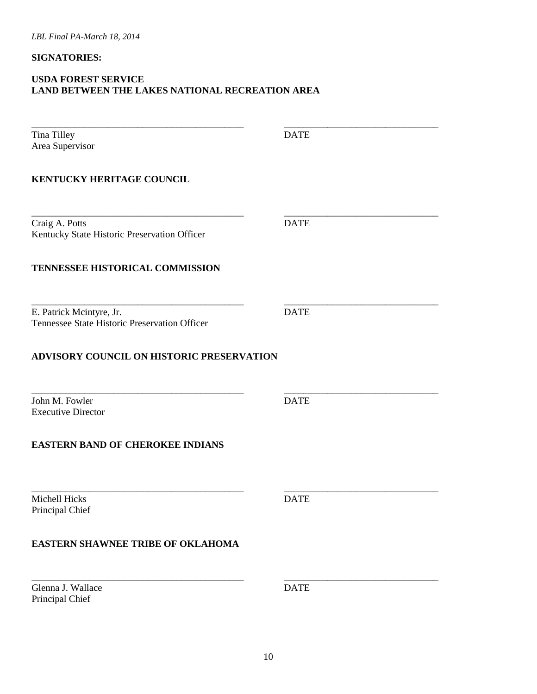## **SIGNATORIES:**

# **USDA FOREST SERVICE LAND BETWEEN THE LAKES NATIONAL RECREATION AREA**

| Tina Tilley                                                               | <b>DATE</b> |  |
|---------------------------------------------------------------------------|-------------|--|
| Area Supervisor                                                           |             |  |
| KENTUCKY HERITAGE COUNCIL                                                 |             |  |
| Craig A. Potts<br>Kentucky State Historic Preservation Officer            | <b>DATE</b> |  |
| TENNESSEE HISTORICAL COMMISSION                                           |             |  |
| E. Patrick Mcintyre, Jr.<br>Tennessee State Historic Preservation Officer | <b>DATE</b> |  |
| <b>ADVISORY COUNCIL ON HISTORIC PRESERVATION</b>                          |             |  |
|                                                                           |             |  |
| John M. Fowler<br><b>Executive Director</b>                               | <b>DATE</b> |  |
| <b>EASTERN BAND OF CHEROKEE INDIANS</b>                                   |             |  |
| Michell Hicks<br>Principal Chief                                          | <b>DATE</b> |  |
| <b>EASTERN SHAWNEE TRIBE OF OKLAHOMA</b>                                  |             |  |
| Glenna J. Wallace<br>Principal Chief                                      | <b>DATE</b> |  |
|                                                                           |             |  |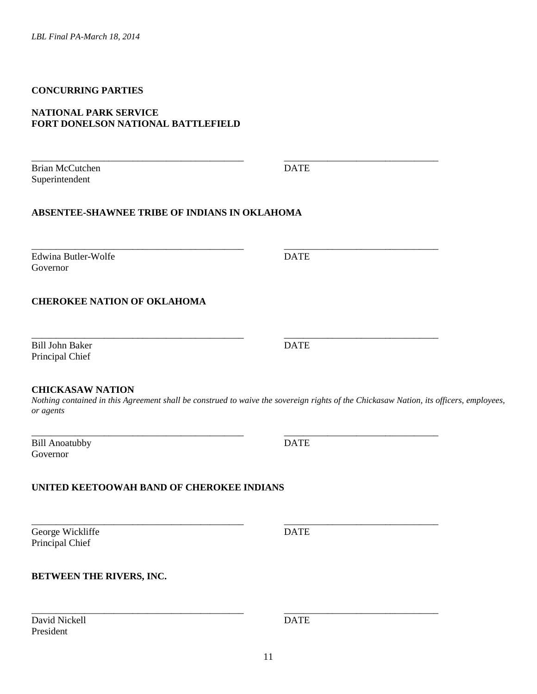## **CONCURRING PARTIES**

#### **NATIONAL PARK SERVICE FORT DONELSON NATIONAL BATTLEFIELD**

Brian McCutchen DATE Superintendent

\_\_\_\_\_\_\_\_\_\_\_\_\_\_\_\_\_\_\_\_\_\_\_\_\_\_\_\_\_\_\_\_\_\_\_\_\_\_\_\_\_\_\_\_ \_\_\_\_\_\_\_\_\_\_\_\_\_\_\_\_\_\_\_\_\_\_\_\_\_\_\_\_\_\_\_\_

# **ABSENTEE-SHAWNEE TRIBE OF INDIANS IN OKLAHOMA**

Edwina Butler-Wolfe DATE Governor

# **CHEROKEE NATION OF OKLAHOMA**

Bill John Baker DATE Principal Chief

#### **CHICKASAW NATION**

*Nothing contained in this Agreement shall be construed to waive the sovereign rights of the Chickasaw Nation, its officers, employees, or agents*

\_\_\_\_\_\_\_\_\_\_\_\_\_\_\_\_\_\_\_\_\_\_\_\_\_\_\_\_\_\_\_\_\_\_\_\_\_\_\_\_\_\_\_\_ \_\_\_\_\_\_\_\_\_\_\_\_\_\_\_\_\_\_\_\_\_\_\_\_\_\_\_\_\_\_\_\_

\_\_\_\_\_\_\_\_\_\_\_\_\_\_\_\_\_\_\_\_\_\_\_\_\_\_\_\_\_\_\_\_\_\_\_\_\_\_\_\_\_\_\_\_ \_\_\_\_\_\_\_\_\_\_\_\_\_\_\_\_\_\_\_\_\_\_\_\_\_\_\_\_\_\_\_\_

\_\_\_\_\_\_\_\_\_\_\_\_\_\_\_\_\_\_\_\_\_\_\_\_\_\_\_\_\_\_\_\_\_\_\_\_\_\_\_\_\_\_\_\_ \_\_\_\_\_\_\_\_\_\_\_\_\_\_\_\_\_\_\_\_\_\_\_\_\_\_\_\_\_\_\_\_

\_\_\_\_\_\_\_\_\_\_\_\_\_\_\_\_\_\_\_\_\_\_\_\_\_\_\_\_\_\_\_\_\_\_\_\_\_\_\_\_\_\_\_\_ \_\_\_\_\_\_\_\_\_\_\_\_\_\_\_\_\_\_\_\_\_\_\_\_\_\_\_\_\_\_\_\_

\_\_\_\_\_\_\_\_\_\_\_\_\_\_\_\_\_\_\_\_\_\_\_\_\_\_\_\_\_\_\_\_\_\_\_\_\_\_\_\_\_\_\_\_ \_\_\_\_\_\_\_\_\_\_\_\_\_\_\_\_\_\_\_\_\_\_\_\_\_\_\_\_\_\_\_\_ Bill Anoatubby DATE Governor

### **UNITED KEETOOWAH BAND OF CHEROKEE INDIANS**

George Wickliffe DATE Principal Chief

#### **BETWEEN THE RIVERS, INC.**

David Nickell **DATE** President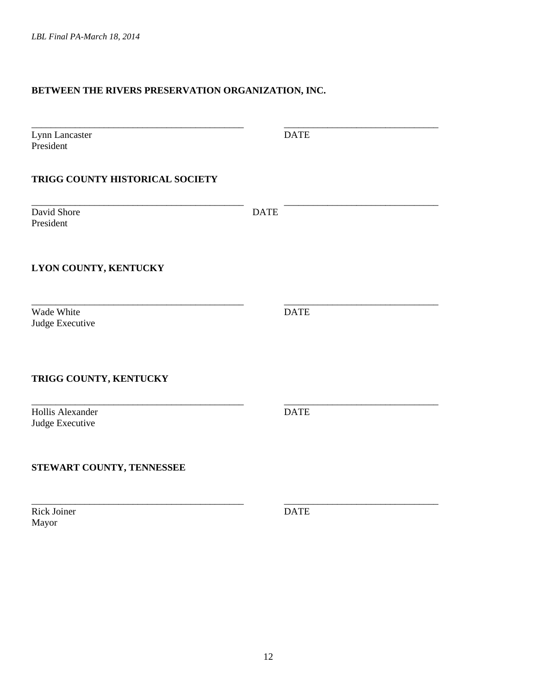# **BETWEEN THE RIVERS PRESERVATION ORGANIZATION, INC.**

| Lynn Lancaster<br>President         |             | <b>DATE</b> |
|-------------------------------------|-------------|-------------|
| TRIGG COUNTY HISTORICAL SOCIETY     |             |             |
| David Shore<br>President            | <b>DATE</b> |             |
| LYON COUNTY, KENTUCKY               |             |             |
| Wade White<br>Judge Executive       |             | <b>DATE</b> |
| TRIGG COUNTY, KENTUCKY              |             |             |
| Hollis Alexander<br>Judge Executive |             | <b>DATE</b> |
| STEWART COUNTY, TENNESSEE           |             |             |
| <b>Rick Joiner</b><br>Mayor         |             | <b>DATE</b> |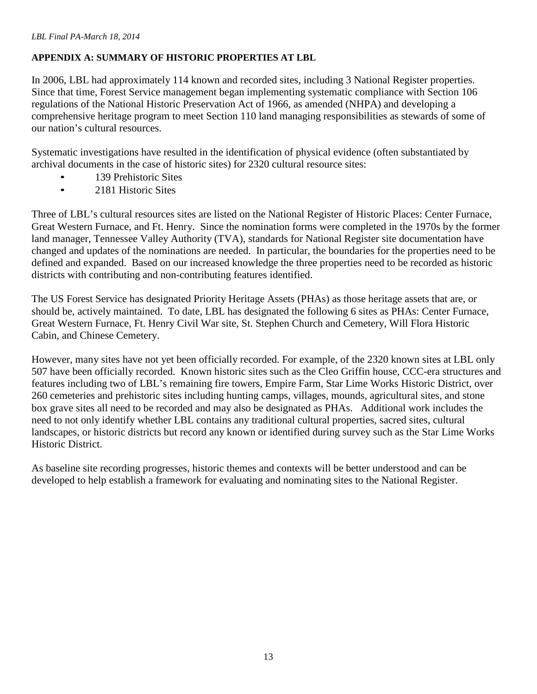# **APPENDIX A: SUMMARY OF HISTORIC PROPERTIES AT LBL**

In 2006, LBL had approximately 114 known and recorded sites, including 3 National Register properties. Since that time, Forest Service management began implementing systematic compliance with Section 106 regulations of the National Historic Preservation Act of 1966, as amended (NHPA) and developing a comprehensive heritage program to meet Section 110 land managing responsibilities as stewards of some of our nation's cultural resources.

Systematic investigations have resulted in the identification of physical evidence (often substantiated by archival documents in the case of historic sites) for 2320 cultural resource sites:

- 139 Prehistoric Sites
- 2181 Historic Sites

Three of LBL's cultural resources sites are listed on the National Register of Historic Places: Center Furnace, Great Western Furnace, and Ft. Henry. Since the nomination forms were completed in the 1970s by the former land manager, Tennessee Valley Authority (TVA), standards for National Register site documentation have changed and updates of the nominations are needed. In particular, the boundaries for the properties need to be defined and expanded. Based on our increased knowledge the three properties need to be recorded as historic districts with contributing and non-contributing features identified.

The US Forest Service has designated Priority Heritage Assets (PHAs) as those heritage assets that are, or should be, actively maintained. To date, LBL has designated the following 6 sites as PHAs: Center Furnace, Great Western Furnace, Ft. Henry Civil War site, St. Stephen Church and Cemetery, Will Flora Historic Cabin, and Chinese Cemetery.

However, many sites have not yet been officially recorded. For example, of the 2320 known sites at LBL only 507 have been officially recorded. Known historic sites such as the Cleo Griffin house, CCC-era structures and features including two of LBL's remaining fire towers, Empire Farm, Star Lime Works Historic District, over 260 cemeteries and prehistoric sites including hunting camps, villages, mounds, agricultural sites, and stone box grave sites all need to be recorded and may also be designated as PHAs. Additional work includes the need to not only identify whether LBL contains any traditional cultural properties, sacred sites, cultural landscapes, or historic districts but record any known or identified during survey such as the Star Lime Works Historic District.

As baseline site recording progresses, historic themes and contexts will be better understood and can be developed to help establish a framework for evaluating and nominating sites to the National Register.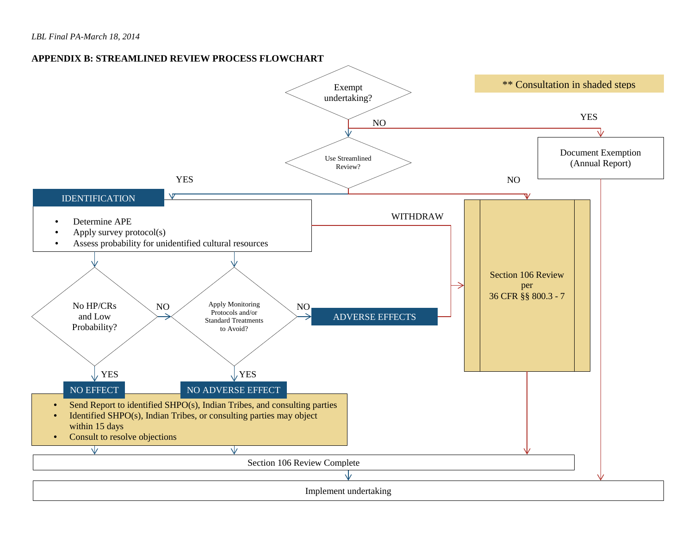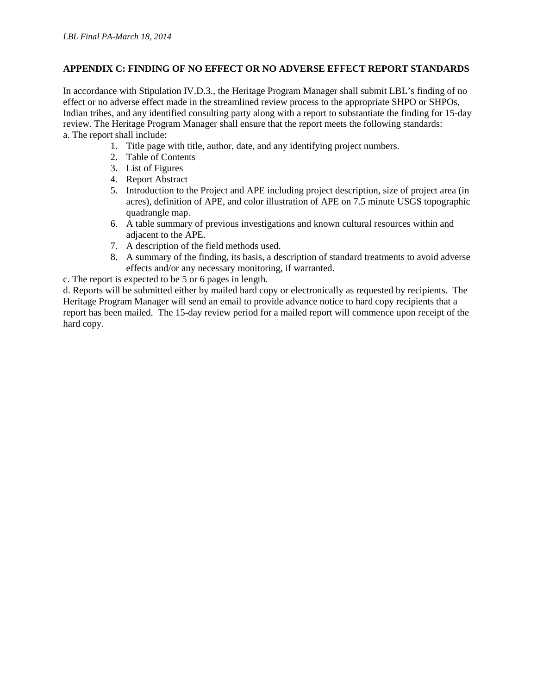## **APPENDIX C: FINDING OF NO EFFECT OR NO ADVERSE EFFECT REPORT STANDARDS**

In accordance with Stipulation IV.D.3., the Heritage Program Manager shall submit LBL's finding of no effect or no adverse effect made in the streamlined review process to the appropriate SHPO or SHPOs, Indian tribes, and any identified consulting party along with a report to substantiate the finding for 15-day review. The Heritage Program Manager shall ensure that the report meets the following standards: a. The report shall include:

- 1. Title page with title, author, date, and any identifying project numbers.
- 2. Table of Contents
- 3. List of Figures
- 4. Report Abstract
- 5. Introduction to the Project and APE including project description, size of project area (in acres), definition of APE, and color illustration of APE on 7.5 minute USGS topographic quadrangle map.
- 6. A table summary of previous investigations and known cultural resources within and adjacent to the APE.
- 7. A description of the field methods used.
- 8. A summary of the finding, its basis, a description of standard treatments to avoid adverse effects and/or any necessary monitoring, if warranted.
- c. The report is expected to be 5 or 6 pages in length.

d. Reports will be submitted either by mailed hard copy or electronically as requested by recipients. The Heritage Program Manager will send an email to provide advance notice to hard copy recipients that a report has been mailed. The 15-day review period for a mailed report will commence upon receipt of the hard copy.